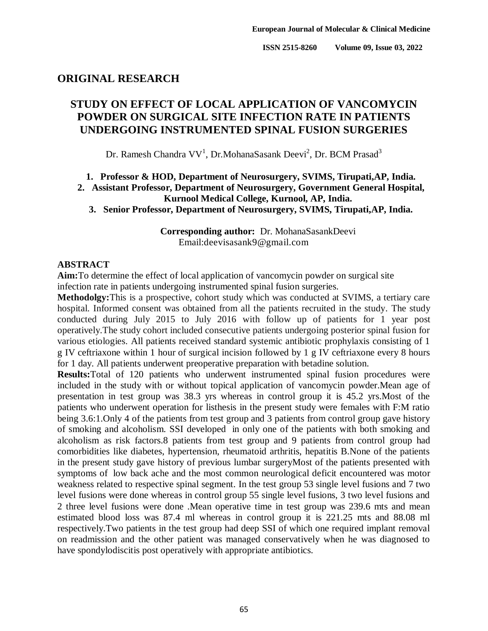### **ORIGINAL RESEARCH**

# **STUDY ON EFFECT OF LOCAL APPLICATION OF VANCOMYCIN POWDER ON SURGICAL SITE INFECTION RATE IN PATIENTS UNDERGOING INSTRUMENTED SPINAL FUSION SURGERIES**

Dr. Ramesh Chandra VV<sup>1</sup>, Dr.MohanaSasank Deevi<sup>2</sup>, Dr. BCM Prasad<sup>3</sup>

#### **1. Professor & HOD, Department of Neurosurgery, SVIMS, Tirupati,AP, India.**

**2. Assistant Professor, Department of Neurosurgery, Government General Hospital,** 

#### **Kurnool Medical College, Kurnool, AP, India.**

**3. Senior Professor, Department of Neurosurgery, SVIMS, Tirupati,AP, India.**

**Corresponding author:** Dr. MohanaSasankDeevi Email:deevisasank9@gmail.com

#### **ABSTRACT**

**Aim:**To determine the effect of local application of vancomycin powder on surgical site infection rate in patients undergoing instrumented spinal fusion surgeries.

**Methodolgy:**This is a prospective, cohort study which was conducted at SVIMS, a tertiary care hospital. Informed consent was obtained from all the patients recruited in the study. The study conducted during July 2015 to July 2016 with follow up of patients for 1 year post operatively.The study cohort included consecutive patients undergoing posterior spinal fusion for various etiologies. All patients received standard systemic antibiotic prophylaxis consisting of 1 g IV ceftriaxone within 1 hour of surgical incision followed by 1 g IV ceftriaxone every 8 hours for 1 day. All patients underwent preoperative preparation with betadine solution.

**Results:**Total of 120 patients who underwent instrumented spinal fusion procedures were included in the study with or without topical application of vancomycin powder.Mean age of presentation in test group was 38.3 yrs whereas in control group it is 45.2 yrs.Most of the patients who underwent operation for listhesis in the present study were females with F:M ratio being 3.6:1.Only 4 of the patients from test group and 3 patients from control group gave history of smoking and alcoholism. SSI developed in only one of the patients with both smoking and alcoholism as risk factors.8 patients from test group and 9 patients from control group had comorbidities like diabetes, hypertension, rheumatoid arthritis, hepatitis B.None of the patients in the present study gave history of previous lumbar surgeryMost of the patients presented with symptoms of low back ache and the most common neurological deficit encountered was motor weakness related to respective spinal segment. In the test group 53 single level fusions and 7 two level fusions were done whereas in control group 55 single level fusions, 3 two level fusions and 2 three level fusions were done .Mean operative time in test group was 239.6 mts and mean estimated blood loss was 87.4 ml whereas in control group it is 221.25 mts and 88.08 ml respectively.Two patients in the test group had deep SSI of which one required implant removal on readmission and the other patient was managed conservatively when he was diagnosed to have spondylodiscitis post operatively with appropriate antibiotics.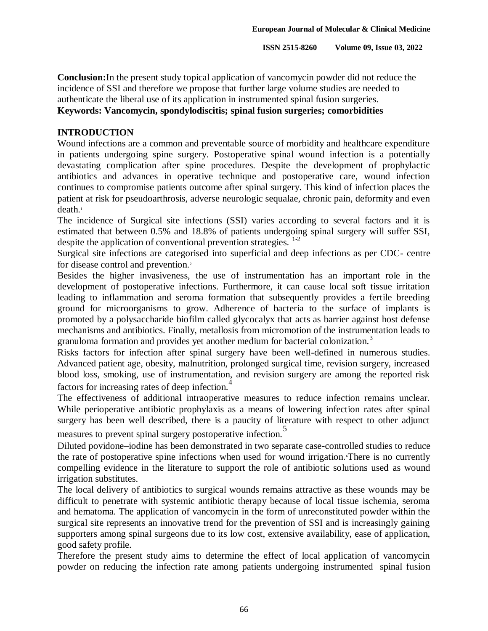**Conclusion:**In the present study topical application of vancomycin powder did not reduce the incidence of SSI and therefore we propose that further large volume studies are needed to authenticate the liberal use of its application in instrumented spinal fusion surgeries. **Keywords: Vancomycin, spondylodiscitis; spinal fusion surgeries; comorbidities**

#### **INTRODUCTION**

Wound infections are a common and preventable source of morbidity and healthcare expenditure in patients undergoing spine surgery. Postoperative spinal wound infection is a potentially devastating complication after spine procedures. Despite the development of prophylactic antibiotics and advances in operative technique and postoperative care, wound infection continues to compromise patients outcome after spinal surgery. This kind of infection places the patient at risk for pseudoarthrosis, adverse neurologic sequalae, chronic pain, deformity and even death.<sup>1</sup>

The incidence of Surgical site infections (SSI) varies according to several factors and it is estimated that between 0.5% and 18.8% of patients undergoing spinal surgery will suffer SSI, despite the application of conventional prevention strategies. <sup>1-2</sup>

Surgical site infections are categorised into superficial and deep infections as per CDC- centre for disease control and prevention.<sup>2</sup>

Besides the higher invasiveness, the use of instrumentation has an important role in the development of postoperative infections. Furthermore, it can cause local soft tissue irritation leading to inflammation and seroma formation that subsequently provides a fertile breeding ground for microorganisms to grow. Adherence of bacteria to the surface of implants is promoted by a polysaccharide biofilm called glycocalyx that acts as barrier against host defense mechanisms and antibiotics. Finally, metallosis from micromotion of the instrumentation leads to granuloma formation and provides yet another medium for bacterial colonization.<sup>3</sup>

Risks factors for infection after spinal surgery have been well-defined in numerous studies. Advanced patient age, obesity, malnutrition, prolonged surgical time, revision surgery, increased blood loss, smoking, use of instrumentation, and revision surgery are among the reported risk factors for increasing rates of deep infection.<sup>4</sup>

The effectiveness of additional intraoperative measures to reduce infection remains unclear. While perioperative antibiotic prophylaxis as a means of lowering infection rates after spinal surgery has been well described, there is a paucity of literature with respect to other adjunct

measures to prevent spinal surgery postoperative infection.<sup>5</sup>

Diluted povidone–iodine has been demonstrated in two separate case-controlled studies to reduce the rate of postoperative spine infections when used for wound irrigation. There is no currently compelling evidence in the literature to support the role of antibiotic solutions used as wound irrigation substitutes.

The local delivery of antibiotics to surgical wounds remains attractive as these wounds may be difficult to penetrate with systemic antibiotic therapy because of local tissue ischemia, seroma and hematoma. The application of vancomycin in the form of unreconstituted powder within the surgical site represents an innovative trend for the prevention of SSI and is increasingly gaining supporters among spinal surgeons due to its low cost, extensive availability, ease of application, good safety profile.

Therefore the present study aims to determine the effect of local application of vancomycin powder on reducing the infection rate among patients undergoing instrumented spinal fusion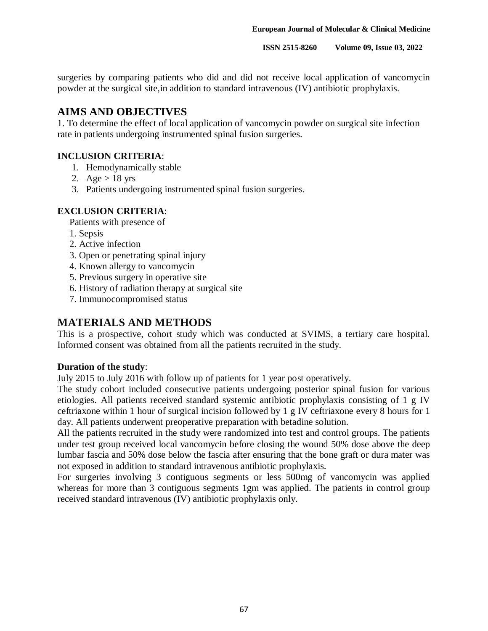surgeries by comparing patients who did and did not receive local application of vancomycin powder at the surgical site,in addition to standard intravenous (IV) antibiotic prophylaxis.

# **AIMS AND OBJECTIVES**

1. To determine the effect of local application of vancomycin powder on surgical site infection rate in patients undergoing instrumented spinal fusion surgeries.

### **INCLUSION CRITERIA**:

- 1. Hemodynamically stable
- 2. Age  $> 18$  yrs
- 3. Patients undergoing instrumented spinal fusion surgeries.

### **EXCLUSION CRITERIA**:

Patients with presence of

- 1. Sepsis
- 2. Active infection
- 3. Open or penetrating spinal injury
- 4. Known allergy to vancomycin
- 5. Previous surgery in operative site
- 6. History of radiation therapy at surgical site
- 7. Immunocompromised status

## **MATERIALS AND METHODS**

This is a prospective, cohort study which was conducted at SVIMS, a tertiary care hospital. Informed consent was obtained from all the patients recruited in the study.

#### **Duration of the study**:

July 2015 to July 2016 with follow up of patients for 1 year post operatively.

The study cohort included consecutive patients undergoing posterior spinal fusion for various etiologies. All patients received standard systemic antibiotic prophylaxis consisting of 1 g IV ceftriaxone within 1 hour of surgical incision followed by 1 g IV ceftriaxone every 8 hours for 1 day. All patients underwent preoperative preparation with betadine solution.

All the patients recruited in the study were randomized into test and control groups. The patients under test group received local vancomycin before closing the wound 50% dose above the deep lumbar fascia and 50% dose below the fascia after ensuring that the bone graft or dura mater was not exposed in addition to standard intravenous antibiotic prophylaxis.

For surgeries involving 3 contiguous segments or less 500mg of vancomycin was applied whereas for more than 3 contiguous segments 1gm was applied. The patients in control group received standard intravenous (IV) antibiotic prophylaxis only.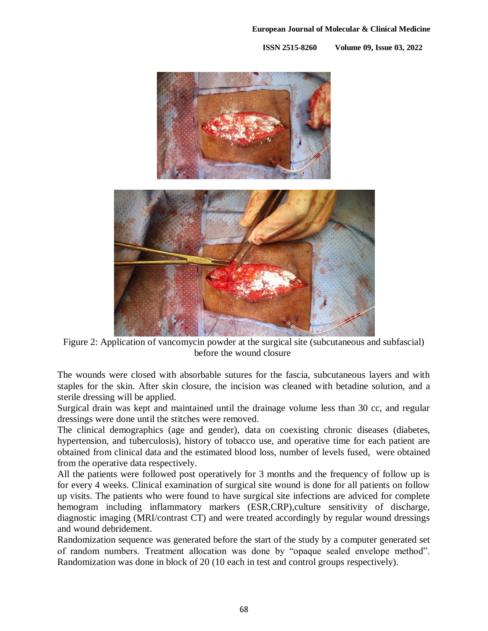

Figure 2: Application of vancomycin powder at the surgical site (subcutaneous and subfascial) before the wound closure

The wounds were closed with absorbable sutures for the fascia, subcutaneous layers and with staples for the skin. After skin closure, the incision was cleaned with betadine solution, and a sterile dressing will be applied.

Surgical drain was kept and maintained until the drainage volume less than 30 cc, and regular dressings were done until the stitches were removed.

The clinical demographics (age and gender), data on coexisting chronic diseases (diabetes, hypertension, and tuberculosis), history of tobacco use, and operative time for each patient are obtained from clinical data and the estimated blood loss, number of levels fused, were obtained from the operative data respectively.

All the patients were followed post operatively for 3 months and the frequency of follow up is for every 4 weeks. Clinical examination of surgical site wound is done for all patients on follow up visits. The patients who were found to have surgical site infections are adviced for complete hemogram including inflammatory markers (ESR,CRP),culture sensitivity of discharge, diagnostic imaging (MRI/contrast CT) and were treated accordingly by regular wound dressings and wound debridement.

Randomization sequence was generated before the start of the study by a computer generated set of random numbers. Treatment allocation was done by "opaque sealed envelope method". Randomization was done in block of 20 (10 each in test and control groups respectively).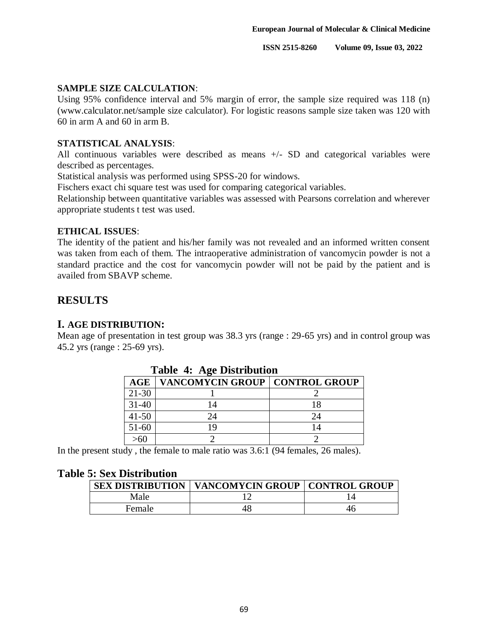#### **SAMPLE SIZE CALCULATION**:

Using 95% confidence interval and 5% margin of error, the sample size required was 118 (n) (www.calculator.net/sample size calculator). For logistic reasons sample size taken was 120 with 60 in arm A and 60 in arm B.

#### **STATISTICAL ANALYSIS**:

All continuous variables were described as means +/- SD and categorical variables were described as percentages.

Statistical analysis was performed using SPSS-20 for windows.

Fischers exact chi square test was used for comparing categorical variables.

Relationship between quantitative variables was assessed with Pearsons correlation and wherever appropriate students t test was used.

#### **ETHICAL ISSUES**:

The identity of the patient and his/her family was not revealed and an informed written consent was taken from each of them. The intraoperative administration of vancomycin powder is not a standard practice and the cost for vancomycin powder will not be paid by the patient and is availed from SBAVP scheme.

## **RESULTS**

### **I. AGE DISTRIBUTION:**

Mean age of presentation in test group was 38.3 yrs (range : 29-65 yrs) and in control group was 45.2 yrs (range : 25-69 yrs).

| Tubic II Hec Distribution |                                         |    |  |
|---------------------------|-----------------------------------------|----|--|
| <b>AGE</b>                | <b>VANCOMYCIN GROUP   CONTROL GROUP</b> |    |  |
| 21-30                     |                                         |    |  |
| $31 - 40$                 |                                         | 18 |  |
| $41 - 50$                 | 24                                      | 24 |  |
| 51-60                     | 19                                      | 14 |  |
| -60                       |                                         |    |  |

**Table 4: Age Distribution**

In the present study , the female to male ratio was 3.6:1 (94 females, 26 males).

#### **Table 5: Sex Distribution**

|        | SEX DISTRIBUTION   VANCOMYCIN GROUP   CONTROL GROUP |    |
|--------|-----------------------------------------------------|----|
| Male   |                                                     |    |
| Female | 48                                                  | 46 |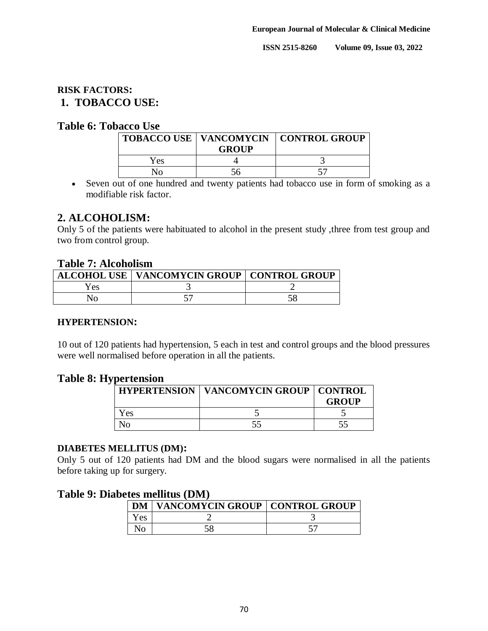### **RISK FACTORS: 1. TOBACCO USE:**

## **Table 6: Tobacco Use**

|     | <b>GROUP</b> | <b>TOBACCO USE   VANCOMYCIN   CONTROL GROUP</b> |
|-----|--------------|-------------------------------------------------|
| Yes |              |                                                 |
| No. |              |                                                 |

 Seven out of one hundred and twenty patients had tobacco use in form of smoking as a modifiable risk factor.

# **2. ALCOHOLISM:**

Only 5 of the patients were habituated to alcohol in the present study ,three from test group and two from control group.

### **Table 7: Alcoholism**

|      | ALCOHOL USE   VANCOMYCIN GROUP   CONTROL GROUP |  |
|------|------------------------------------------------|--|
| Y es |                                                |  |
|      |                                                |  |

### **HYPERTENSION:**

10 out of 120 patients had hypertension, 5 each in test and control groups and the blood pressures were well normalised before operation in all the patients.

## **Table 8: Hypertension**

|      | <b>HYPERTENSION   VANCOMYCIN GROUP   CONTROL</b> | <b>GROUP</b> |
|------|--------------------------------------------------|--------------|
| Y es |                                                  |              |
|      |                                                  |              |

### **DIABETES MELLITUS (DM):**

Only 5 out of 120 patients had DM and the blood sugars were normalised in all the patients before taking up for surgery.

### **Table 9: Diabetes mellitus (DM)**

| DM   | <b>VANCOMYCIN GROUP   CONTROL GROUP</b> |  |
|------|-----------------------------------------|--|
| r es |                                         |  |
|      |                                         |  |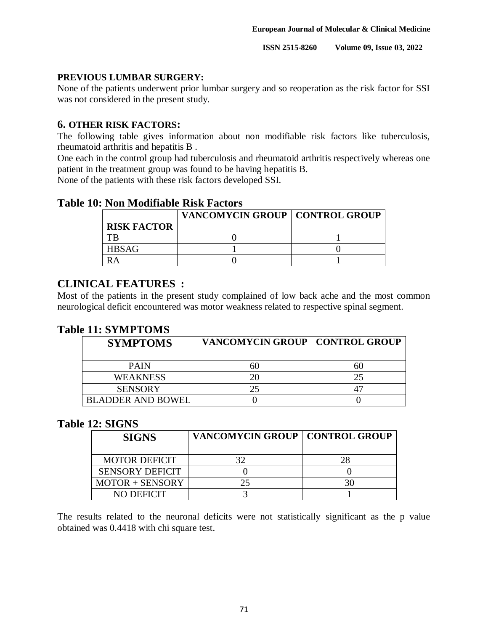#### **PREVIOUS LUMBAR SURGERY:**

None of the patients underwent prior lumbar surgery and so reoperation as the risk factor for SSI was not considered in the present study.

### **6. OTHER RISK FACTORS:**

The following table gives information about non modifiable risk factors like tuberculosis, rheumatoid arthritis and hepatitis B .

One each in the control group had tuberculosis and rheumatoid arthritis respectively whereas one patient in the treatment group was found to be having hepatitis B.

None of the patients with these risk factors developed SSI.

| <b>RISK FACTOR</b> | <b>VANCOMYCIN GROUP   CONTROL GROUP</b> |  |
|--------------------|-----------------------------------------|--|
|                    |                                         |  |
| <b>HBSAG</b>       |                                         |  |
|                    |                                         |  |

## **Table 10: Non Modifiable Risk Factors**

# **CLINICAL FEATURES :**

Most of the patients in the present study complained of low back ache and the most common neurological deficit encountered was motor weakness related to respective spinal segment.

### **Table 11: SYMPTOMS**

| <b>SYMPTOMS</b>          | <b>VANCOMYCIN GROUP   CONTROL GROUP</b> |  |
|--------------------------|-----------------------------------------|--|
| <b>PAIN</b>              |                                         |  |
| <b>WEAKNESS</b>          |                                         |  |
| <b>SENSORY</b>           |                                         |  |
| <b>BLADDER AND BOWEL</b> |                                         |  |

## **Table 12: SIGNS**

| <b>SIGNS</b>           | <b>VANCOMYCIN GROUP   CONTROL GROUP</b> |    |
|------------------------|-----------------------------------------|----|
| <b>MOTOR DEFICIT</b>   |                                         | 28 |
| <b>SENSORY DEFICIT</b> |                                         |    |
| $MOTOR + SENSORY$      |                                         |    |
| NO DEFICIT             |                                         |    |

The results related to the neuronal deficits were not statistically significant as the p value obtained was 0.4418 with chi square test.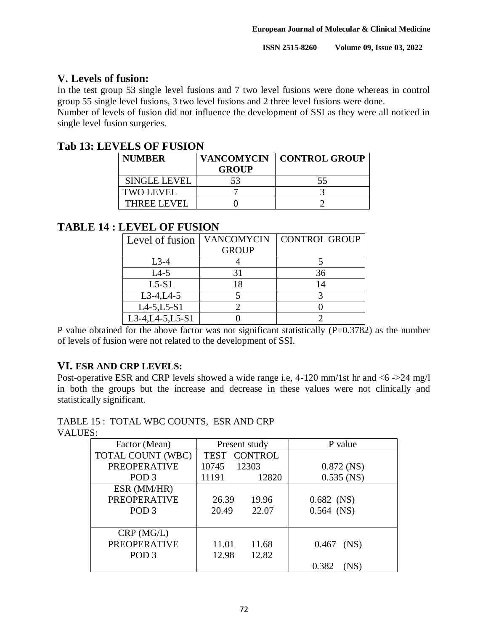## **V. Levels of fusion:**

In the test group 53 single level fusions and 7 two level fusions were done whereas in control group 55 single level fusions, 3 two level fusions and 2 three level fusions were done.

Number of levels of fusion did not influence the development of SSI as they were all noticed in single level fusion surgeries.

# **Tab 13: LEVELS OF FUSION**

| <b>NUMBER</b>       | <b>GROUP</b> | VANCOMYCIN   CONTROL GROUP |
|---------------------|--------------|----------------------------|
| <b>SINGLE LEVEL</b> | 53           | 55                         |
| <b>TWO LEVEL</b>    |              |                            |
| <b>THREE LEVEL</b>  |              |                            |

# **TABLE 14 : LEVEL OF FUSION**

| Level of fusion           | <b>VANCOMYCIN</b> | <b>CONTROL GROUP</b> |
|---------------------------|-------------------|----------------------|
|                           | <b>GROUP</b>      |                      |
| $L3-4$                    |                   |                      |
| $L4-5$                    |                   | 36                   |
| $L5-S1$                   | 18                | 14                   |
| $L3-4,L4-5$               |                   |                      |
| $L4 - 5, L5 - S1$         |                   |                      |
| $L3-4$ , $L4-5$ , $L5-S1$ |                   |                      |

P value obtained for the above factor was not significant statistically  $(P=0.3782)$  as the number of levels of fusion were not related to the development of SSI.

## **VI. ESR AND CRP LEVELS:**

Post-operative ESR and CRP levels showed a wide range i.e,  $4-120 \text{ mm}/1 \text{st}$  hr and  $\leq 6 - 24 \text{ mg}/1$ in both the groups but the increase and decrease in these values were not clinically and statistically significant.

TABLE 15 : TOTAL WBC COUNTS, ESR AND CRP VALUES:

| Factor (Mean)       | Present study |              | P value       |
|---------------------|---------------|--------------|---------------|
| TOTAL COUNT (WBC)   |               | TEST CONTROL |               |
| <b>PREOPERATIVE</b> | 10745         | 12303        | $0.872$ (NS)  |
| POD <sub>3</sub>    | 11191         | 12820        | $0.535$ (NS)  |
| ESR (MM/HR)         |               |              |               |
| <b>PREOPERATIVE</b> | 26.39         | 19.96        | $0.682$ (NS)  |
| POD <sub>3</sub>    | 20.49         | 22.07        | $0.564$ (NS)  |
|                     |               |              |               |
| $CRP$ (MG/L)        |               |              |               |
| <b>PREOPERATIVE</b> | 11.01         | 11.68        | 0.467<br>(NS) |
| POD <sub>3</sub>    | 12.98         | 12.82        |               |
|                     |               |              | 0.382         |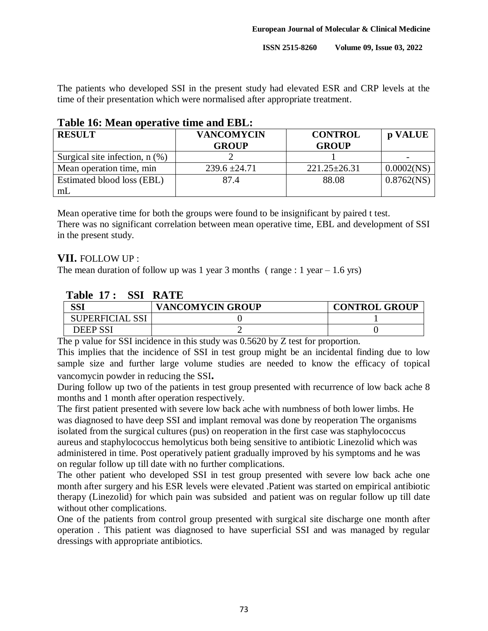The patients who developed SSI in the present study had elevated ESR and CRP levels at the time of their presentation which were normalised after appropriate treatment.

| A WAJAY A UT ATAVWAA UN'UA WUATU WAAAN WAA |                                   |                                |               |  |  |  |
|--------------------------------------------|-----------------------------------|--------------------------------|---------------|--|--|--|
| <b>RESULT</b>                              | <b>VANCOMYCIN</b><br><b>GROUP</b> | <b>CONTROL</b><br><b>GROUP</b> | p VALUE       |  |  |  |
| Surgical site infection, $n$ (%)           |                                   |                                |               |  |  |  |
| Mean operation time, min                   | $239.6 \pm 24.71$                 | $221.25 \pm 26.31$             | $0.0002$ (NS) |  |  |  |
| Estimated blood loss (EBL)                 | 87.4                              | 88.08                          | $0.8762$ (NS) |  |  |  |
| mL                                         |                                   |                                |               |  |  |  |

#### **Table 16: Mean operative time and EBL:**

Mean operative time for both the groups were found to be insignificant by paired t test. There was no significant correlation between mean operative time, EBL and development of SSI in the present study.

#### **VII.** FOLLOW UP :

The mean duration of follow up was 1 year 3 months ( $range: 1 year - 1.6 yrs$ )

### **Table 17 : SSI RATE**

| CCI                    | <b>VANCOMYCIN GROUP</b> | <b>CONTROL GROUP</b> |
|------------------------|-------------------------|----------------------|
| <b>SUPERFICIAL SSI</b> |                         |                      |
| <b>DEEP SSI</b>        |                         |                      |

The p value for SSI incidence in this study was 0.5620 by Z test for proportion.

This implies that the incidence of SSI in test group might be an incidental finding due to low sample size and further large volume studies are needed to know the efficacy of topical vancomycin powder in reducing the SSI**.**

During follow up two of the patients in test group presented with recurrence of low back ache 8 months and 1 month after operation respectively.

The first patient presented with severe low back ache with numbness of both lower limbs. He was diagnosed to have deep SSI and implant removal was done by reoperation The organisms isolated from the surgical cultures (pus) on reoperation in the first case was staphylococcus aureus and staphylococcus hemolyticus both being sensitive to antibiotic Linezolid which was administered in time. Post operatively patient gradually improved by his symptoms and he was on regular follow up till date with no further complications.

The other patient who developed SSI in test group presented with severe low back ache one month after surgery and his ESR levels were elevated .Patient was started on empirical antibiotic therapy (Linezolid) for which pain was subsided and patient was on regular follow up till date without other complications.

One of the patients from control group presented with surgical site discharge one month after operation . This patient was diagnosed to have superficial SSI and was managed by regular dressings with appropriate antibiotics.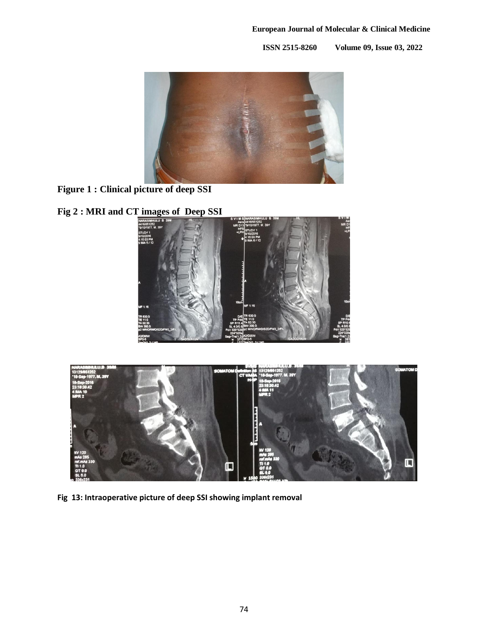

**Figure 1 : Clinical picture of deep SSI**







**Fig 13: Intraoperative picture of deep SSI showing implant removal**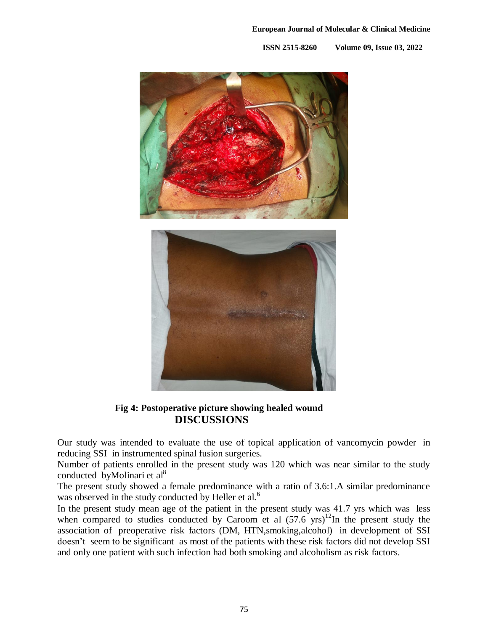

**Fig 4: Postoperative picture showing healed wound DISCUSSIONS**

Our study was intended to evaluate the use of topical application of vancomycin powder in reducing SSI in instrumented spinal fusion surgeries.

Number of patients enrolled in the present study was 120 which was near similar to the study conducted by Molinari et  $al^8$ 

The present study showed a female predominance with a ratio of 3.6:1.A similar predominance was observed in the study conducted by Heller et al.<sup>6</sup>

In the present study mean age of the patient in the present study was 41.7 yrs which was less when compared to studies conducted by Caroom et al  $(57.6 \text{ yrs})^{12}$ In the present study the association of preoperative risk factors (DM, HTN,smoking,alcohol) in development of SSI doesn't seem to be significant as most of the patients with these risk factors did not develop SSI and only one patient with such infection had both smoking and alcoholism as risk factors.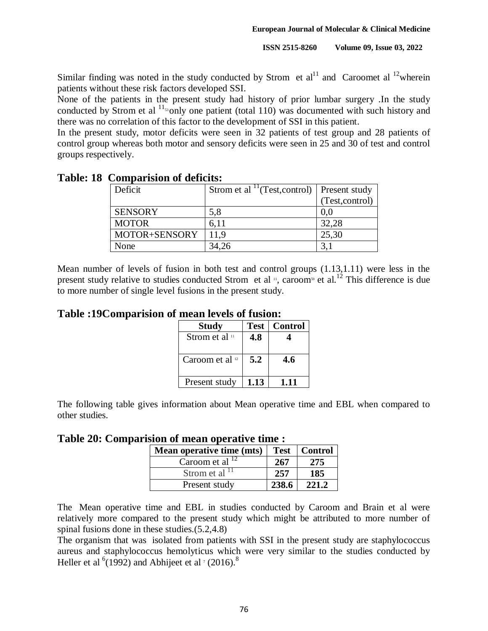Similar finding was noted in the study conducted by Strom et  $al<sup>11</sup>$  and Caroomet al <sup>12</sup>wherein patients without these risk factors developed SSI.

None of the patients in the present study had history of prior lumbar surgery .In the study conducted by Strom et al  $11_{53}$  only one patient (total 110) was documented with such history and there was no correlation of this factor to the development of SSI in this patient.

In the present study, motor deficits were seen in 32 patients of test group and 28 patients of control group whereas both motor and sensory deficits were seen in 25 and 30 of test and control groups respectively.

| UUMMUMA ADAVAA UA WULAULUU |                                                           |                 |  |  |
|----------------------------|-----------------------------------------------------------|-----------------|--|--|
| Deficit                    | Strom et al <sup>11</sup> (Test, control)   Present study |                 |  |  |
|                            |                                                           | (Test, control) |  |  |
| <b>SENSORY</b>             | 5,8                                                       | 0.0             |  |  |
| <b>MOTOR</b>               | 6,11                                                      | 32,28           |  |  |
| MOTOR+SENSORY              | 11.9                                                      | 25,30           |  |  |
| None                       |                                                           |                 |  |  |

## **Table: 18 Comparision of deficits:**

Mean number of levels of fusion in both test and control groups (1.13,1.11) were less in the present study relative to studies conducted Strom et al  $\mu$ , caroom<sup>99</sup> et al.<sup>12</sup> This difference is due to more number of single level fusions in the present study.

### **Table :19Comparision of mean levels of fusion:**

| <b>Study</b>               | <b>Test</b> | <b>Control</b> |
|----------------------------|-------------|----------------|
| Strom et al 11             | 4.8         |                |
| Caroom et al <sup>12</sup> | 5.2         | 4.6            |
| Present study              | 1.13        | 1 1 1          |

The following table gives information about Mean operative time and EBL when compared to other studies.

**Table 20: Comparision of mean operative time :**

| Mean operative time (mts) | <b>Test</b> | Control |
|---------------------------|-------------|---------|
| Caroom et al $^{12}$      | 267         | 275     |
| Strom et al <sup>11</sup> | 257         | 185     |
| Present study             | 238.6       | 221.2   |

The Mean operative time and EBL in studies conducted by Caroom and Brain et al were relatively more compared to the present study which might be attributed to more number of spinal fusions done in these studies.(5.2,4.8)

The organism that was isolated from patients with SSI in the present study are staphylococcus aureus and staphylococcus hemolyticus which were very similar to the studies conducted by Heller et al  $^{6}(1992)$  and Abhijeet et al  $^{7}(2016)^{8}$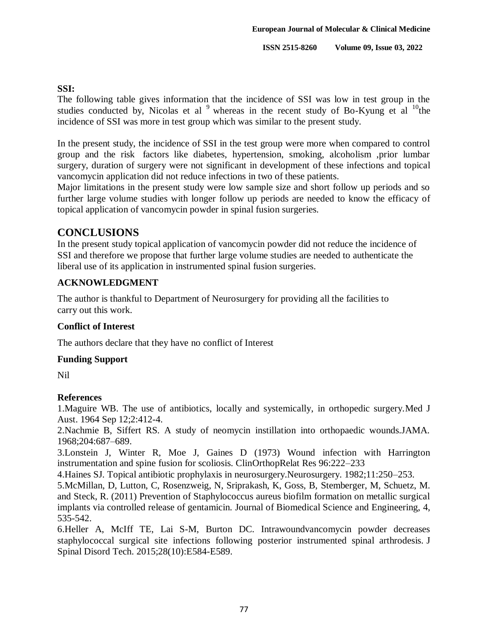#### **SSI:**

The following table gives information that the incidence of SSI was low in test group in the studies conducted by, Nicolas et al  $9$  whereas in the recent study of Bo-Kyung et al  $10$ <sup>the</sup> incidence of SSI was more in test group which was similar to the present study.

In the present study, the incidence of SSI in the test group were more when compared to control group and the risk factors like diabetes, hypertension, smoking, alcoholism ,prior lumbar surgery, duration of surgery were not significant in development of these infections and topical vancomycin application did not reduce infections in two of these patients.

Major limitations in the present study were low sample size and short follow up periods and so further large volume studies with longer follow up periods are needed to know the efficacy of topical application of vancomycin powder in spinal fusion surgeries.

### **CONCLUSIONS**

In the present study topical application of vancomycin powder did not reduce the incidence of SSI and therefore we propose that further large volume studies are needed to authenticate the liberal use of its application in instrumented spinal fusion surgeries.

#### **ACKNOWLEDGMENT**

The author is thankful to Department of Neurosurgery for providing all the facilities to carry out this work.

#### **Conflict of Interest**

The authors declare that they have no conflict of Interest

#### **Funding Support**

Nil

#### **References**

1.Maguire WB. The use of antibiotics, locally and systemically, in orthopedic surgery[.Med J](https://www.ncbi.nlm.nih.gov/pubmed/14202853)  [Aust.](https://www.ncbi.nlm.nih.gov/pubmed/14202853) 1964 Sep 12;2:412-4.

2.Nachmie B, Siffert RS. A study of neomycin instillation into orthopaedic wounds.JAMA. 1968;204:687–689.

3.Lonstein J, Winter R, Moe J, Gaines D (1973) Wound infection with Harrington instrumentation and spine fusion for scoliosis. ClinOrthopRelat Res 96:222–233

4.Haines SJ. Topical antibiotic prophylaxis in neurosurgery.Neurosurgery. 1982;11:250–253.

5.McMillan, D, Lutton, C, Rosenzweig, N, Sriprakash, K, Goss, B, Stemberger, M, Schuetz, M. and Steck, R. (2011) Prevention of Staphylococcus aureus biofilm formation on metallic surgical implants via controlled release of gentamicin. Journal of Biomedical Science and Engineering, 4, 535-542.

6.Heller A, McIff TE, Lai S-M, Burton DC. Intrawoundvancomycin powder decreases staphylococcal surgical site infections following posterior instrumented spinal arthrodesis. [J](https://www.ncbi.nlm.nih.gov/pmc/articles/PMC4229479/)  [Spinal Disord Tech.](https://www.ncbi.nlm.nih.gov/pmc/articles/PMC4229479/) 2015;28(10):E584-E589.